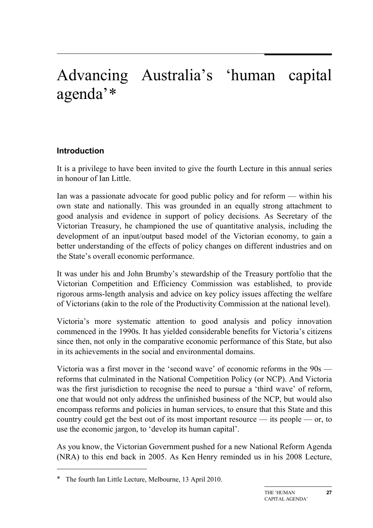# Advancing Australia's 'human capital agenda'[∗](#page-0-0)

# **Introduction**

It is a privilege to have been invited to give the fourth Lecture in this annual series in honour of Ian Little.

Ian was a passionate advocate for good public policy and for reform — within his own state and nationally. This was grounded in an equally strong attachment to good analysis and evidence in support of policy decisions. As Secretary of the Victorian Treasury, he championed the use of quantitative analysis, including the development of an input/output based model of the Victorian economy, to gain a better understanding of the effects of policy changes on different industries and on the State's overall economic performance.

It was under his and John Brumby's stewardship of the Treasury portfolio that the Victorian Competition and Efficiency Commission was established, to provide rigorous arms-length analysis and advice on key policy issues affecting the welfare of Victorians (akin to the role of the Productivity Commission at the national level).

Victoria's more systematic attention to good analysis and policy innovation commenced in the 1990s. It has yielded considerable benefits for Victoria's citizens since then, not only in the comparative economic performance of this State, but also in its achievements in the social and environmental domains.

Victoria was a first mover in the 'second wave' of economic reforms in the 90s reforms that culminated in the National Competition Policy (or NCP). And Victoria was the first jurisdiction to recognise the need to pursue a 'third wave' of reform, one that would not only address the unfinished business of the NCP, but would also encompass reforms and policies in human services, to ensure that this State and this country could get the best out of its most important resource — its people — or, to use the economic jargon, to 'develop its human capital'.

As you know, the Victorian Government pushed for a new National Reform Agenda (NRA) to this end back in 2005. As Ken Henry reminded us in his 2008 Lecture,

-

<span id="page-0-0"></span>The fourth Ian Little Lecture, Melbourne, 13 April 2010.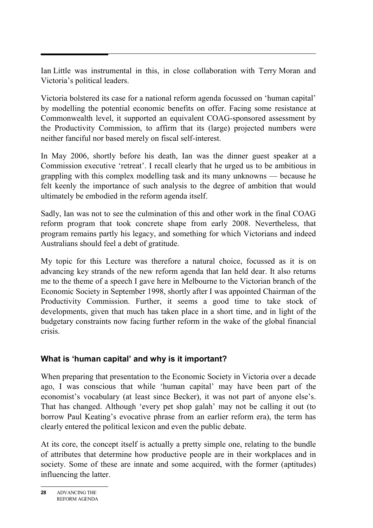Ian Little was instrumental in this, in close collaboration with Terry Moran and Victoria's political leaders.

Victoria bolstered its case for a national reform agenda focussed on 'human capital' by modelling the potential economic benefits on offer. Facing some resistance at Commonwealth level, it supported an equivalent COAG-sponsored assessment by the Productivity Commission, to affirm that its (large) projected numbers were neither fanciful nor based merely on fiscal self-interest.

In May 2006, shortly before his death, Ian was the dinner guest speaker at a Commission executive 'retreat'. I recall clearly that he urged us to be ambitious in grappling with this complex modelling task and its many unknowns — because he felt keenly the importance of such analysis to the degree of ambition that would ultimately be embodied in the reform agenda itself.

Sadly, Ian was not to see the culmination of this and other work in the final COAG reform program that took concrete shape from early 2008. Nevertheless, that program remains partly his legacy, and something for which Victorians and indeed Australians should feel a debt of gratitude.

My topic for this Lecture was therefore a natural choice, focussed as it is on advancing key strands of the new reform agenda that Ian held dear. It also returns me to the theme of a speech I gave here in Melbourne to the Victorian branch of the Economic Society in September 1998, shortly after I was appointed Chairman of the Productivity Commission. Further, it seems a good time to take stock of developments, given that much has taken place in a short time, and in light of the budgetary constraints now facing further reform in the wake of the global financial crisis.

# **What is 'human capital' and why is it important?**

When preparing that presentation to the Economic Society in Victoria over a decade ago, I was conscious that while 'human capital' may have been part of the economist's vocabulary (at least since Becker), it was not part of anyone else's. That has changed. Although 'every pet shop galah' may not be calling it out (to borrow Paul Keating's evocative phrase from an earlier reform era), the term has clearly entered the political lexicon and even the public debate.

At its core, the concept itself is actually a pretty simple one, relating to the bundle of attributes that determine how productive people are in their workplaces and in society. Some of these are innate and some acquired, with the former (aptitudes) influencing the latter.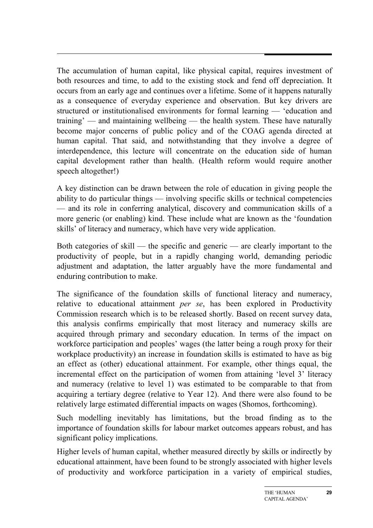The accumulation of human capital, like physical capital, requires investment of both resources and time, to add to the existing stock and fend off depreciation. It occurs from an early age and continues over a lifetime. Some of it happens naturally as a consequence of everyday experience and observation. But key drivers are structured or institutionalised environments for formal learning — 'education and training' — and maintaining wellbeing — the health system. These have naturally become major concerns of public policy and of the COAG agenda directed at human capital. That said, and notwithstanding that they involve a degree of interdependence, this lecture will concentrate on the education side of human capital development rather than health. (Health reform would require another speech altogether!)

A key distinction can be drawn between the role of education in giving people the ability to do particular things — involving specific skills or technical competencies — and its role in conferring analytical, discovery and communication skills of a more generic (or enabling) kind. These include what are known as the 'foundation skills' of literacy and numeracy, which have very wide application.

Both categories of skill — the specific and generic — are clearly important to the productivity of people, but in a rapidly changing world, demanding periodic adjustment and adaptation, the latter arguably have the more fundamental and enduring contribution to make.

The significance of the foundation skills of functional literacy and numeracy, relative to educational attainment *per se*, has been explored in Productivity Commission research which is to be released shortly. Based on recent survey data, this analysis confirms empirically that most literacy and numeracy skills are acquired through primary and secondary education. In terms of the impact on workforce participation and peoples' wages (the latter being a rough proxy for their workplace productivity) an increase in foundation skills is estimated to have as big an effect as (other) educational attainment. For example, other things equal, the incremental effect on the participation of women from attaining 'level 3' literacy and numeracy (relative to level 1) was estimated to be comparable to that from acquiring a tertiary degree (relative to Year 12). And there were also found to be relatively large estimated differential impacts on wages (Shomos, forthcoming).

Such modelling inevitably has limitations, but the broad finding as to the importance of foundation skills for labour market outcomes appears robust, and has significant policy implications.

Higher levels of human capital, whether measured directly by skills or indirectly by educational attainment, have been found to be strongly associated with higher levels of productivity and workforce participation in a variety of empirical studies,

**29**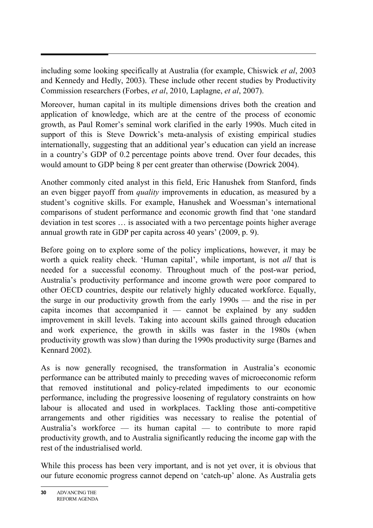including some looking specifically at Australia (for example, Chiswick *et al*, 2003 and Kennedy and Hedly, 2003). These include other recent studies by Productivity Commission researchers (Forbes, *et al*, 2010, Laplagne, *et al*, 2007).

Moreover, human capital in its multiple dimensions drives both the creation and application of knowledge, which are at the centre of the process of economic growth, as Paul Romer's seminal work clarified in the early 1990s. Much cited in support of this is Steve Dowrick's meta-analysis of existing empirical studies internationally, suggesting that an additional year's education can yield an increase in a country's GDP of 0.2 percentage points above trend. Over four decades, this would amount to GDP being 8 per cent greater than otherwise (Dowrick 2004).

Another commonly cited analyst in this field, Eric Hanushek from Stanford, finds an even bigger payoff from *quality* improvements in education, as measured by a student's cognitive skills. For example, Hanushek and Woessman's international comparisons of student performance and economic growth find that 'one standard deviation in test scores … is associated with a two percentage points higher average annual growth rate in GDP per capita across 40 years' (2009, p. 9).

Before going on to explore some of the policy implications, however, it may be worth a quick reality check. 'Human capital', while important, is not *all* that is needed for a successful economy. Throughout much of the post-war period, Australia's productivity performance and income growth were poor compared to other OECD countries, despite our relatively highly educated workforce. Equally, the surge in our productivity growth from the early 1990s — and the rise in per capita incomes that accompanied it  $-$  cannot be explained by any sudden improvement in skill levels. Taking into account skills gained through education and work experience, the growth in skills was faster in the 1980s (when productivity growth was slow) than during the 1990s productivity surge (Barnes and Kennard 2002).

As is now generally recognised, the transformation in Australia's economic performance can be attributed mainly to preceding waves of microeconomic reform that removed institutional and policy-related impediments to our economic performance, including the progressive loosening of regulatory constraints on how labour is allocated and used in workplaces. Tackling those anti-competitive arrangements and other rigidities was necessary to realise the potential of Australia's workforce — its human capital — to contribute to more rapid productivity growth, and to Australia significantly reducing the income gap with the rest of the industrialised world.

While this process has been very important, and is not yet over, it is obvious that our future economic progress cannot depend on 'catch-up' alone. As Australia gets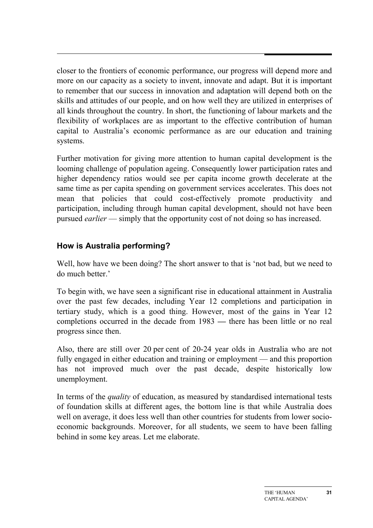closer to the frontiers of economic performance, our progress will depend more and more on our capacity as a society to invent, innovate and adapt. But it is important to remember that our success in innovation and adaptation will depend both on the skills and attitudes of our people, and on how well they are utilized in enterprises of all kinds throughout the country. In short, the functioning of labour markets and the flexibility of workplaces are as important to the effective contribution of human capital to Australia's economic performance as are our education and training systems.

Further motivation for giving more attention to human capital development is the looming challenge of population ageing. Consequently lower participation rates and higher dependency ratios would see per capita income growth decelerate at the same time as per capita spending on government services accelerates. This does not mean that policies that could cost-effectively promote productivity and participation, including through human capital development, should not have been pursued *earlier* — simply that the opportunity cost of not doing so has increased.

# **How is Australia performing?**

Well, how have we been doing? The short answer to that is 'not bad, but we need to do much better.'

To begin with, we have seen a significant rise in educational attainment in Australia over the past few decades, including Year 12 completions and participation in tertiary study, which is a good thing. However, most of the gains in Year 12 completions occurred in the decade from 1983 *—* there has been little or no real progress since then.

Also, there are still over 20 per cent of 20-24 year olds in Australia who are not fully engaged in either education and training or employment — and this proportion has not improved much over the past decade, despite historically low unemployment.

In terms of the *quality* of education, as measured by standardised international tests of foundation skills at different ages, the bottom line is that while Australia does well on average, it does less well than other countries for students from lower socioeconomic backgrounds. Moreover, for all students, we seem to have been falling behind in some key areas. Let me elaborate.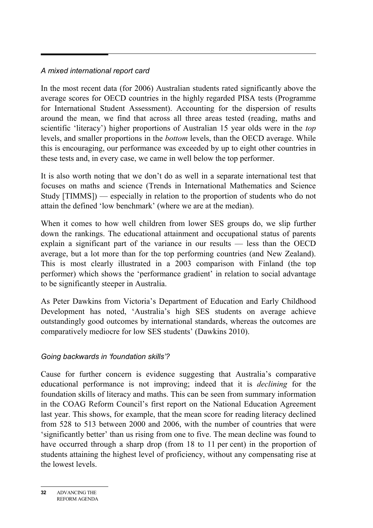## *A mixed international report card*

In the most recent data (for 2006) Australian students rated significantly above the average scores for OECD countries in the highly regarded PISA tests (Programme for International Student Assessment). Accounting for the dispersion of results around the mean, we find that across all three areas tested (reading, maths and scientific 'literacy') higher proportions of Australian 15 year olds were in the *top*  levels, and smaller proportions in the *bottom* levels, than the OECD average. While this is encouraging, our performance was exceeded by up to eight other countries in these tests and, in every case, we came in well below the top performer.

It is also worth noting that we don't do as well in a separate international test that focuses on maths and science (Trends in International Mathematics and Science Study [TIMMS]) — especially in relation to the proportion of students who do not attain the defined 'low benchmark' (where we are at the median).

When it comes to how well children from lower SES groups do, we slip further down the rankings. The educational attainment and occupational status of parents explain a significant part of the variance in our results — less than the OECD average, but a lot more than for the top performing countries (and New Zealand). This is most clearly illustrated in a 2003 comparison with Finland (the top performer) which shows the 'performance gradient' in relation to social advantage to be significantly steeper in Australia.

As Peter Dawkins from Victoria's Department of Education and Early Childhood Development has noted, 'Australia's high SES students on average achieve outstandingly good outcomes by international standards, whereas the outcomes are comparatively mediocre for low SES students' (Dawkins 2010).

## *Going backwards in 'foundation skills'?*

Cause for further concern is evidence suggesting that Australia's comparative educational performance is not improving; indeed that it is *declining* for the foundation skills of literacy and maths. This can be seen from summary information in the COAG Reform Council's first report on the National Education Agreement last year. This shows, for example, that the mean score for reading literacy declined from 528 to 513 between 2000 and 2006, with the number of countries that were 'significantly better' than us rising from one to five. The mean decline was found to have occurred through a sharp drop (from 18 to 11 per cent) in the proportion of students attaining the highest level of proficiency, without any compensating rise at the lowest levels.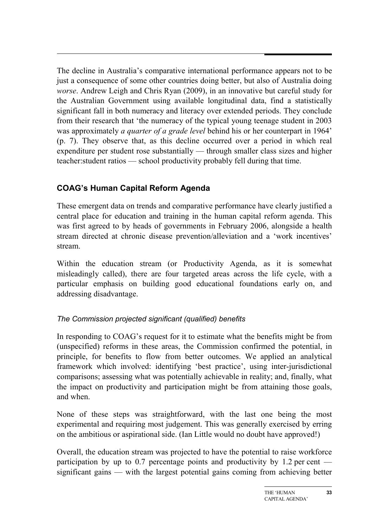The decline in Australia's comparative international performance appears not to be just a consequence of some other countries doing better, but also of Australia doing *worse*. Andrew Leigh and Chris Ryan (2009), in an innovative but careful study for the Australian Government using available longitudinal data, find a statistically significant fall in both numeracy and literacy over extended periods. They conclude from their research that 'the numeracy of the typical young teenage student in 2003 was approximately *a quarter of a grade level* behind his or her counterpart in 1964' (p. 7). They observe that, as this decline occurred over a period in which real expenditure per student rose substantially — through smaller class sizes and higher teacher:student ratios — school productivity probably fell during that time.

# **COAG's Human Capital Reform Agenda**

These emergent data on trends and comparative performance have clearly justified a central place for education and training in the human capital reform agenda. This was first agreed to by heads of governments in February 2006, alongside a health stream directed at chronic disease prevention/alleviation and a 'work incentives' stream.

Within the education stream (or Productivity Agenda, as it is somewhat misleadingly called), there are four targeted areas across the life cycle, with a particular emphasis on building good educational foundations early on, and addressing disadvantage.

# *The Commission projected significant (qualified) benefits*

In responding to COAG's request for it to estimate what the benefits might be from (unspecified) reforms in these areas, the Commission confirmed the potential, in principle, for benefits to flow from better outcomes. We applied an analytical framework which involved: identifying 'best practice', using inter-jurisdictional comparisons; assessing what was potentially achievable in reality; and, finally, what the impact on productivity and participation might be from attaining those goals, and when.

None of these steps was straightforward, with the last one being the most experimental and requiring most judgement. This was generally exercised by erring on the ambitious or aspirational side. (Ian Little would no doubt have approved!)

Overall, the education stream was projected to have the potential to raise workforce participation by up to 0.7 percentage points and productivity by 1.2 per cent significant gains — with the largest potential gains coming from achieving better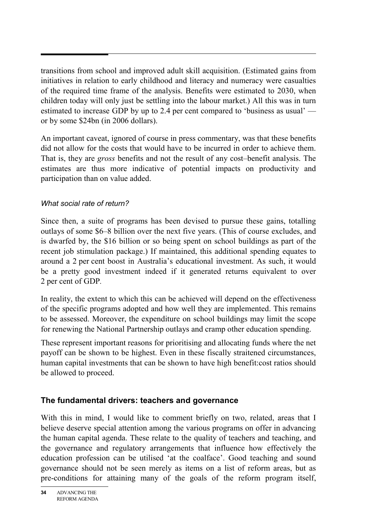transitions from school and improved adult skill acquisition. (Estimated gains from initiatives in relation to early childhood and literacy and numeracy were casualties of the required time frame of the analysis. Benefits were estimated to 2030, when children today will only just be settling into the labour market.) All this was in turn estimated to increase GDP by up to 2.4 per cent compared to 'business as usual' or by some \$24bn (in 2006 dollars).

An important caveat, ignored of course in press commentary, was that these benefits did not allow for the costs that would have to be incurred in order to achieve them. That is, they are *gross* benefits and not the result of any cost–benefit analysis. The estimates are thus more indicative of potential impacts on productivity and participation than on value added.

# *What social rate of return?*

Since then, a suite of programs has been devised to pursue these gains, totalling outlays of some \$6–8 billion over the next five years. (This of course excludes, and is dwarfed by, the \$16 billion or so being spent on school buildings as part of the recent job stimulation package.) If maintained, this additional spending equates to around a 2 per cent boost in Australia's educational investment. As such, it would be a pretty good investment indeed if it generated returns equivalent to over 2 per cent of GDP*.*

In reality, the extent to which this can be achieved will depend on the effectiveness of the specific programs adopted and how well they are implemented. This remains to be assessed. Moreover, the expenditure on school buildings may limit the scope for renewing the National Partnership outlays and cramp other education spending.

These represent important reasons for prioritising and allocating funds where the net payoff can be shown to be highest. Even in these fiscally straitened circumstances, human capital investments that can be shown to have high benefit:cost ratios should be allowed to proceed.

# **The fundamental drivers: teachers and governance**

With this in mind, I would like to comment briefly on two, related, areas that I believe deserve special attention among the various programs on offer in advancing the human capital agenda. These relate to the quality of teachers and teaching, and the governance and regulatory arrangements that influence how effectively the education profession can be utilised 'at the coalface'. Good teaching and sound governance should not be seen merely as items on a list of reform areas, but as pre-conditions for attaining many of the goals of the reform program itself,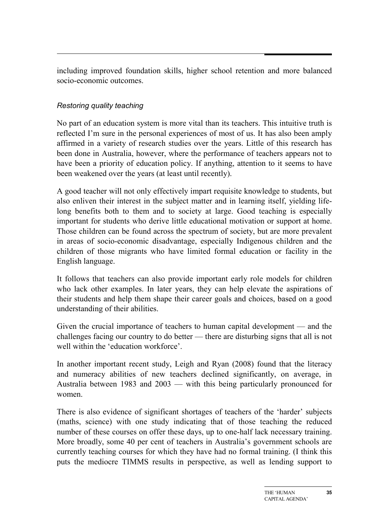including improved foundation skills, higher school retention and more balanced socio-economic outcomes.

## *Restoring quality teaching*

No part of an education system is more vital than its teachers. This intuitive truth is reflected I'm sure in the personal experiences of most of us. It has also been amply affirmed in a variety of research studies over the years. Little of this research has been done in Australia, however, where the performance of teachers appears not to have been a priority of education policy. If anything, attention to it seems to have been weakened over the years (at least until recently).

A good teacher will not only effectively impart requisite knowledge to students, but also enliven their interest in the subject matter and in learning itself, yielding lifelong benefits both to them and to society at large. Good teaching is especially important for students who derive little educational motivation or support at home. Those children can be found across the spectrum of society, but are more prevalent in areas of socio-economic disadvantage, especially Indigenous children and the children of those migrants who have limited formal education or facility in the English language.

It follows that teachers can also provide important early role models for children who lack other examples. In later years, they can help elevate the aspirations of their students and help them shape their career goals and choices, based on a good understanding of their abilities.

Given the crucial importance of teachers to human capital development — and the challenges facing our country to do better — there are disturbing signs that all is not well within the 'education workforce'.

In another important recent study, Leigh and Ryan (2008) found that the literacy and numeracy abilities of new teachers declined significantly, on average, in Australia between 1983 and 2003 — with this being particularly pronounced for women.

There is also evidence of significant shortages of teachers of the 'harder' subjects (maths, science) with one study indicating that of those teaching the reduced number of these courses on offer these days, up to one-half lack necessary training. More broadly, some 40 per cent of teachers in Australia's government schools are currently teaching courses for which they have had no formal training. (I think this puts the mediocre TIMMS results in perspective, as well as lending support to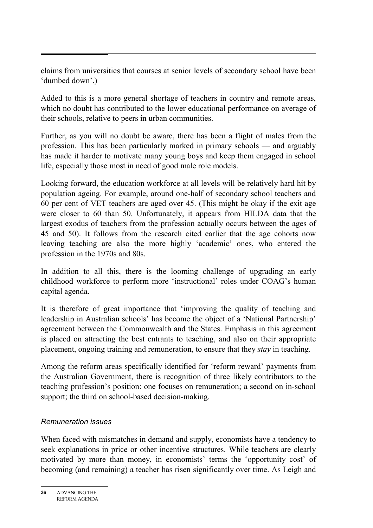claims from universities that courses at senior levels of secondary school have been 'dumbed down'.)

Added to this is a more general shortage of teachers in country and remote areas, which no doubt has contributed to the lower educational performance on average of their schools, relative to peers in urban communities.

Further, as you will no doubt be aware, there has been a flight of males from the profession. This has been particularly marked in primary schools — and arguably has made it harder to motivate many young boys and keep them engaged in school life, especially those most in need of good male role models.

Looking forward, the education workforce at all levels will be relatively hard hit by population ageing. For example, around one-half of secondary school teachers and 60 per cent of VET teachers are aged over 45. (This might be okay if the exit age were closer to 60 than 50. Unfortunately, it appears from HILDA data that the largest exodus of teachers from the profession actually occurs between the ages of 45 and 50). It follows from the research cited earlier that the age cohorts now leaving teaching are also the more highly 'academic' ones, who entered the profession in the 1970s and 80s.

In addition to all this, there is the looming challenge of upgrading an early childhood workforce to perform more 'instructional' roles under COAG's human capital agenda.

It is therefore of great importance that 'improving the quality of teaching and leadership in Australian schools' has become the object of a 'National Partnership' agreement between the Commonwealth and the States. Emphasis in this agreement is placed on attracting the best entrants to teaching, and also on their appropriate placement, ongoing training and remuneration, to ensure that they *stay* in teaching.

Among the reform areas specifically identified for 'reform reward' payments from the Australian Government, there is recognition of three likely contributors to the teaching profession's position: one focuses on remuneration; a second on in-school support; the third on school-based decision-making.

## *Remuneration issues*

When faced with mismatches in demand and supply, economists have a tendency to seek explanations in price or other incentive structures. While teachers are clearly motivated by more than money, in economists' terms the 'opportunity cost' of becoming (and remaining) a teacher has risen significantly over time. As Leigh and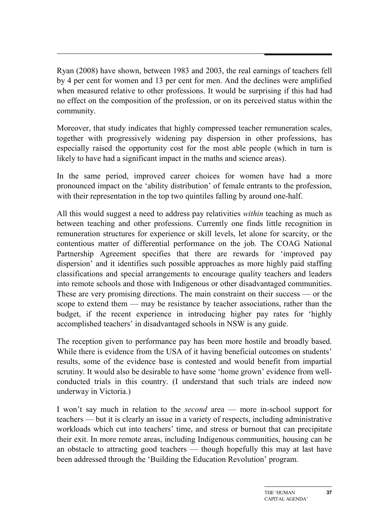Ryan (2008) have shown, between 1983 and 2003, the real earnings of teachers fell by 4 per cent for women and 13 per cent for men. And the declines were amplified when measured relative to other professions. It would be surprising if this had had no effect on the composition of the profession, or on its perceived status within the community.

Moreover, that study indicates that highly compressed teacher remuneration scales, together with progressively widening pay dispersion in other professions, has especially raised the opportunity cost for the most able people (which in turn is likely to have had a significant impact in the maths and science areas).

In the same period, improved career choices for women have had a more pronounced impact on the 'ability distribution' of female entrants to the profession, with their representation in the top two quintiles falling by around one-half.

All this would suggest a need to address pay relativities *within* teaching as much as between teaching and other professions. Currently one finds little recognition in remuneration structures for experience or skill levels, let alone for scarcity, or the contentious matter of differential performance on the job. The COAG National Partnership Agreement specifies that there are rewards for 'improved pay dispersion' and it identifies such possible approaches as more highly paid staffing classifications and special arrangements to encourage quality teachers and leaders into remote schools and those with Indigenous or other disadvantaged communities. These are very promising directions. The main constraint on their success — or the scope to extend them — may be resistance by teacher associations, rather than the budget, if the recent experience in introducing higher pay rates for 'highly accomplished teachers' in disadvantaged schools in NSW is any guide.

The reception given to performance pay has been more hostile and broadly based. While there is evidence from the USA of it having beneficial outcomes on students' results, some of the evidence base is contested and would benefit from impartial scrutiny. It would also be desirable to have some 'home grown' evidence from wellconducted trials in this country. (I understand that such trials are indeed now underway in Victoria.)

I won't say much in relation to the *second* area — more in-school support for teachers — but it is clearly an issue in a variety of respects, including administrative workloads which cut into teachers' time, and stress or burnout that can precipitate their exit. In more remote areas, including Indigenous communities, housing can be an obstacle to attracting good teachers — though hopefully this may at last have been addressed through the 'Building the Education Revolution' program.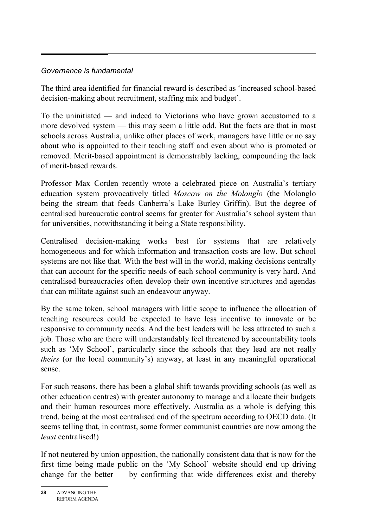## *Governance is fundamental*

The third area identified for financial reward is described as 'increased school-based decision-making about recruitment, staffing mix and budget'.

To the uninitiated — and indeed to Victorians who have grown accustomed to a more devolved system — this may seem a little odd. But the facts are that in most schools across Australia, unlike other places of work, managers have little or no say about who is appointed to their teaching staff and even about who is promoted or removed. Merit-based appointment is demonstrably lacking, compounding the lack of merit-based rewards.

Professor Max Corden recently wrote a celebrated piece on Australia's tertiary education system provocatively titled *Moscow on the Molonglo* (the Molonglo being the stream that feeds Canberra's Lake Burley Griffin). But the degree of centralised bureaucratic control seems far greater for Australia's school system than for universities, notwithstanding it being a State responsibility.

Centralised decision-making works best for systems that are relatively homogeneous and for which information and transaction costs are low. But school systems are not like that. With the best will in the world, making decisions centrally that can account for the specific needs of each school community is very hard. And centralised bureaucracies often develop their own incentive structures and agendas that can militate against such an endeavour anyway.

By the same token, school managers with little scope to influence the allocation of teaching resources could be expected to have less incentive to innovate or be responsive to community needs. And the best leaders will be less attracted to such a job. Those who are there will understandably feel threatened by accountability tools such as 'My School', particularly since the schools that they lead are not really *theirs* (or the local community's) anyway, at least in any meaningful operational sense.

For such reasons, there has been a global shift towards providing schools (as well as other education centres) with greater autonomy to manage and allocate their budgets and their human resources more effectively. Australia as a whole is defying this trend, being at the most centralised end of the spectrum according to OECD data. (It seems telling that, in contrast, some former communist countries are now among the *least* centralised!)

If not neutered by union opposition, the nationally consistent data that is now for the first time being made public on the 'My School' website should end up driving change for the better  $-$  by confirming that wide differences exist and thereby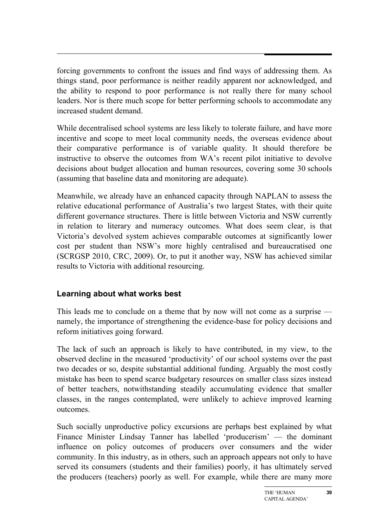forcing governments to confront the issues and find ways of addressing them. As things stand, poor performance is neither readily apparent nor acknowledged, and the ability to respond to poor performance is not really there for many school leaders. Nor is there much scope for better performing schools to accommodate any increased student demand.

While decentralised school systems are less likely to tolerate failure, and have more incentive and scope to meet local community needs, the overseas evidence about their comparative performance is of variable quality. It should therefore be instructive to observe the outcomes from WA's recent pilot initiative to devolve decisions about budget allocation and human resources, covering some 30 schools (assuming that baseline data and monitoring are adequate).

Meanwhile, we already have an enhanced capacity through NAPLAN to assess the relative educational performance of Australia's two largest States, with their quite different governance structures. There is little between Victoria and NSW currently in relation to literary and numeracy outcomes. What does seem clear, is that Victoria's devolved system achieves comparable outcomes at significantly lower cost per student than NSW's more highly centralised and bureaucratised one (SCRGSP 2010, CRC, 2009). Or, to put it another way, NSW has achieved similar results to Victoria with additional resourcing.

# **Learning about what works best**

This leads me to conclude on a theme that by now will not come as a surprise namely, the importance of strengthening the evidence-base for policy decisions and reform initiatives going forward.

The lack of such an approach is likely to have contributed, in my view, to the observed decline in the measured 'productivity' of our school systems over the past two decades or so, despite substantial additional funding. Arguably the most costly mistake has been to spend scarce budgetary resources on smaller class sizes instead of better teachers, notwithstanding steadily accumulating evidence that smaller classes, in the ranges contemplated, were unlikely to achieve improved learning outcomes.

Such socially unproductive policy excursions are perhaps best explained by what Finance Minister Lindsay Tanner has labelled 'producerism' — the dominant influence on policy outcomes of producers over consumers and the wider community. In this industry, as in others, such an approach appears not only to have served its consumers (students and their families) poorly, it has ultimately served the producers (teachers) poorly as well. For example, while there are many more

**39**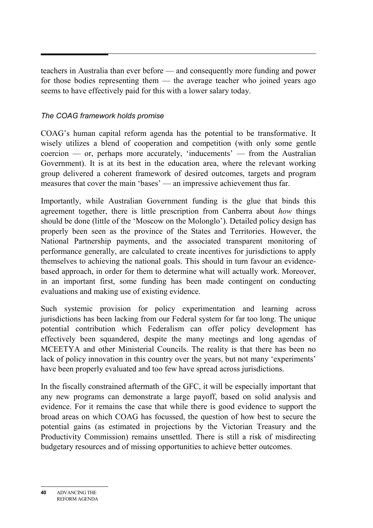teachers in Australia than ever before — and consequently more funding and power for those bodies representing them — the average teacher who joined years ago seems to have effectively paid for this with a lower salary today.

## *The COAG framework holds promise*

COAG's human capital reform agenda has the potential to be transformative. It wisely utilizes a blend of cooperation and competition (with only some gentle  $c\text{oercion}$  — or, perhaps more accurately, 'inducements' — from the Australian Government). It is at its best in the education area, where the relevant working group delivered a coherent framework of desired outcomes, targets and program measures that cover the main 'bases' — an impressive achievement thus far.

Importantly, while Australian Government funding is the glue that binds this agreement together, there is little prescription from Canberra about *how* things should be done (little of the 'Moscow on the Molonglo'). Detailed policy design has properly been seen as the province of the States and Territories. However, the National Partnership payments, and the associated transparent monitoring of performance generally, are calculated to create incentives for jurisdictions to apply themselves to achieving the national goals. This should in turn favour an evidencebased approach, in order for them to determine what will actually work. Moreover, in an important first, some funding has been made contingent on conducting evaluations and making use of existing evidence.

Such systemic provision for policy experimentation and learning across jurisdictions has been lacking from our Federal system for far too long. The unique potential contribution which Federalism can offer policy development has effectively been squandered, despite the many meetings and long agendas of MCEETYA and other Ministerial Councils. The reality is that there has been no lack of policy innovation in this country over the years, but not many 'experiments' have been properly evaluated and too few have spread across jurisdictions.

In the fiscally constrained aftermath of the GFC, it will be especially important that any new programs can demonstrate a large payoff, based on solid analysis and evidence. For it remains the case that while there is good evidence to support the broad areas on which COAG has focussed, the question of how best to secure the potential gains (as estimated in projections by the Victorian Treasury and the Productivity Commission) remains unsettled. There is still a risk of misdirecting budgetary resources and of missing opportunities to achieve better outcomes.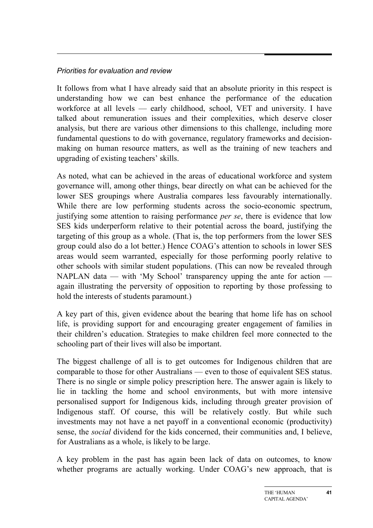#### *Priorities for evaluation and review*

It follows from what I have already said that an absolute priority in this respect is understanding how we can best enhance the performance of the education workforce at all levels — early childhood, school, VET and university. I have talked about remuneration issues and their complexities, which deserve closer analysis, but there are various other dimensions to this challenge, including more fundamental questions to do with governance, regulatory frameworks and decisionmaking on human resource matters, as well as the training of new teachers and upgrading of existing teachers' skills.

As noted, what can be achieved in the areas of educational workforce and system governance will, among other things, bear directly on what can be achieved for the lower SES groupings where Australia compares less favourably internationally. While there are low performing students across the socio-economic spectrum, justifying some attention to raising performance *per se*, there is evidence that low SES kids underperform relative to their potential across the board, justifying the targeting of this group as a whole. (That is, the top performers from the lower SES group could also do a lot better.) Hence COAG's attention to schools in lower SES areas would seem warranted, especially for those performing poorly relative to other schools with similar student populations. (This can now be revealed through NAPLAN data — with 'My School' transparency upping the ante for action again illustrating the perversity of opposition to reporting by those professing to hold the interests of students paramount.)

A key part of this, given evidence about the bearing that home life has on school life, is providing support for and encouraging greater engagement of families in their children's education. Strategies to make children feel more connected to the schooling part of their lives will also be important.

The biggest challenge of all is to get outcomes for Indigenous children that are comparable to those for other Australians — even to those of equivalent SES status. There is no single or simple policy prescription here. The answer again is likely to lie in tackling the home and school environments, but with more intensive personalised support for Indigenous kids, including through greater provision of Indigenous staff. Of course, this will be relatively costly. But while such investments may not have a net payoff in a conventional economic (productivity) sense, the *social* dividend for the kids concerned, their communities and, I believe, for Australians as a whole, is likely to be large.

A key problem in the past has again been lack of data on outcomes, to know whether programs are actually working. Under COAG's new approach, that is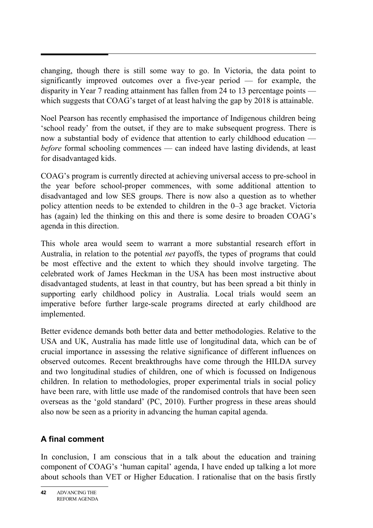changing, though there is still some way to go. In Victoria, the data point to significantly improved outcomes over a five-year period — for example, the disparity in Year 7 reading attainment has fallen from 24 to 13 percentage points which suggests that COAG's target of at least halving the gap by 2018 is attainable.

Noel Pearson has recently emphasised the importance of Indigenous children being 'school ready' from the outset, if they are to make subsequent progress. There is now a substantial body of evidence that attention to early childhood education *before* formal schooling commences — can indeed have lasting dividends, at least for disadvantaged kids.

COAG's program is currently directed at achieving universal access to pre-school in the year before school-proper commences, with some additional attention to disadvantaged and low SES groups. There is now also a question as to whether policy attention needs to be extended to children in the 0–3 age bracket. Victoria has (again) led the thinking on this and there is some desire to broaden COAG's agenda in this direction.

This whole area would seem to warrant a more substantial research effort in Australia, in relation to the potential *net* payoffs, the types of programs that could be most effective and the extent to which they should involve targeting. The celebrated work of James Heckman in the USA has been most instructive about disadvantaged students, at least in that country, but has been spread a bit thinly in supporting early childhood policy in Australia. Local trials would seem an imperative before further large-scale programs directed at early childhood are implemented.

Better evidence demands both better data and better methodologies. Relative to the USA and UK, Australia has made little use of longitudinal data, which can be of crucial importance in assessing the relative significance of different influences on observed outcomes. Recent breakthroughs have come through the HILDA survey and two longitudinal studies of children, one of which is focussed on Indigenous children. In relation to methodologies, proper experimental trials in social policy have been rare, with little use made of the randomised controls that have been seen overseas as the 'gold standard' (PC, 2010). Further progress in these areas should also now be seen as a priority in advancing the human capital agenda.

# **A final comment**

In conclusion, I am conscious that in a talk about the education and training component of COAG's 'human capital' agenda, I have ended up talking a lot more about schools than VET or Higher Education. I rationalise that on the basis firstly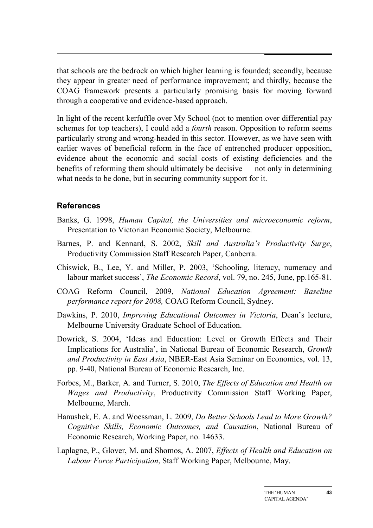that schools are the bedrock on which higher learning is founded; secondly, because they appear in greater need of performance improvement; and thirdly, because the COAG framework presents a particularly promising basis for moving forward through a cooperative and evidence-based approach.

In light of the recent kerfuffle over My School (not to mention over differential pay schemes for top teachers), I could add a *fourth* reason. Opposition to reform seems particularly strong and wrong-headed in this sector. However, as we have seen with earlier waves of beneficial reform in the face of entrenched producer opposition, evidence about the economic and social costs of existing deficiencies and the benefits of reforming them should ultimately be decisive — not only in determining what needs to be done, but in securing community support for it.

#### **References**

- Banks, G. 1998, *Human Capital, the Universities and microeconomic reform*, Presentation to Victorian Economic Society, Melbourne.
- Barnes, P. and Kennard, S. 2002, *Skill and Australia's Productivity Surge*, Productivity Commission Staff Research Paper, Canberra.
- Chiswick, B., Lee, Y. and Miller, P. 2003, 'Schooling, literacy, numeracy and labour market success', *The Economic Record*, vol. 79, no. 245, June, pp.165-81.
- COAG Reform Council, 2009, *National Education Agreement: Baseline performance report for 2008,* COAG Reform Council, Sydney.
- Dawkins, P. 2010, *Improving Educational Outcomes in Victoria*, Dean's lecture, Melbourne University Graduate School of Education.
- Dowrick, S. 2004, 'Ideas and Education: Level or Growth Effects and Their Implications for Australia', in National Bureau of Economic Research, *Growth and Productivity in East Asia*, NBER-East Asia Seminar on Economics, vol. 13, pp. 9-40, National Bureau of Economic Research, Inc.
- Forbes, M., Barker, A. and Turner, S. 2010, *The Effects of Education and Health on Wages and Productivity*, Productivity Commission Staff Working Paper, Melbourne, March.
- Hanushek, E. A. and Woessman, L. 2009, *Do Better Schools Lead to More Growth? Cognitive Skills, Economic Outcomes, and Causation*, National Bureau of Economic Research, Working Paper, no. 14633.
- Laplagne, P., Glover, M. and Shomos, A. 2007, *Effects of Health and Education on Labour Force Participation*, Staff Working Paper, Melbourne, May.